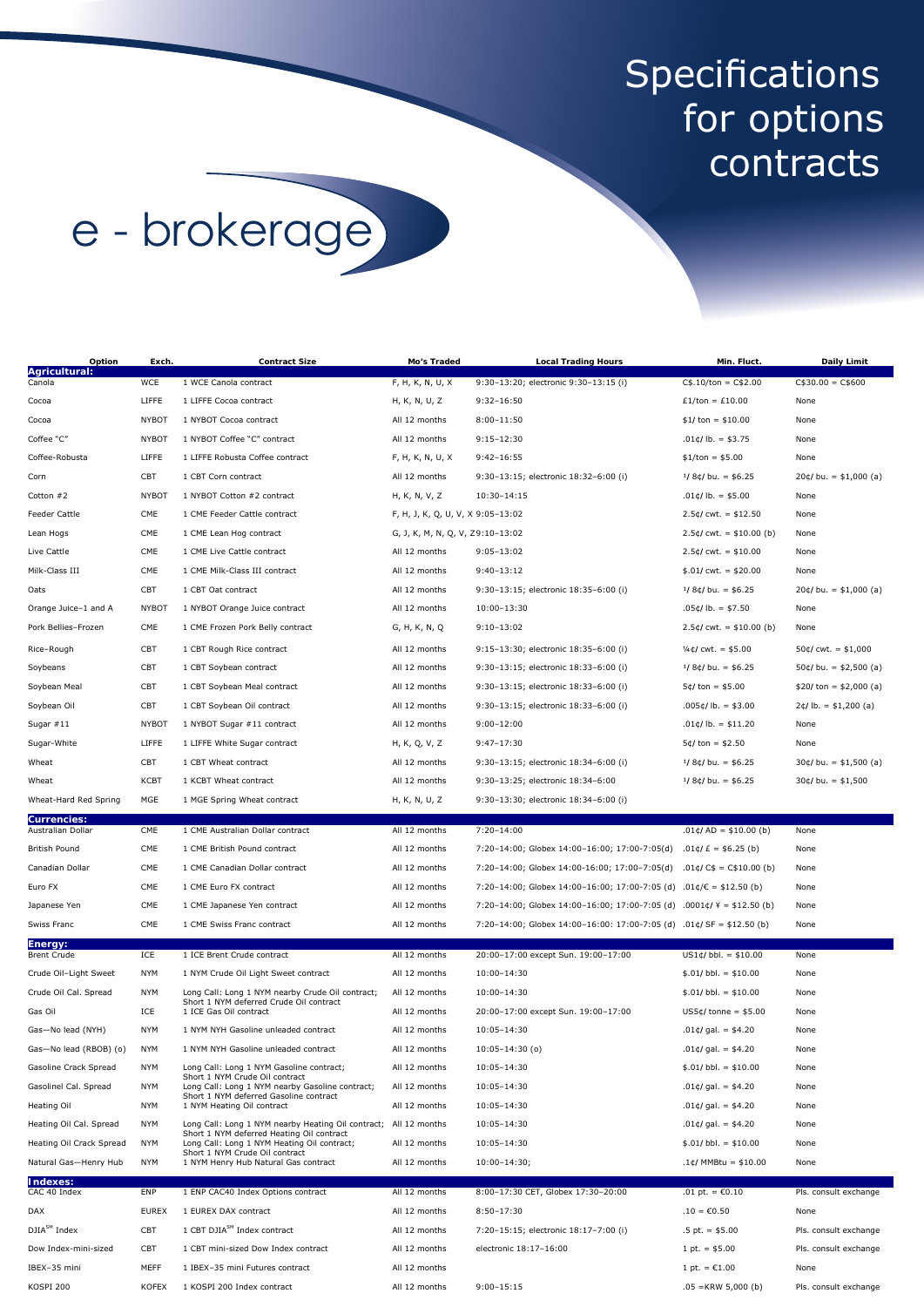## Specifications for options contracts

## e - brokerage

| Option                                      | Exch.                    | <b>Contract Size</b>                                                                                                          | Mo's Traded                       | <b>Local Trading Hours</b>                                           | Min. Fluct.                                | <b>Daily Limit</b>       |
|---------------------------------------------|--------------------------|-------------------------------------------------------------------------------------------------------------------------------|-----------------------------------|----------------------------------------------------------------------|--------------------------------------------|--------------------------|
| Agricultural:<br>Canola                     | WCE                      | 1 WCE Canola contract                                                                                                         | F, H, K, N, U, X                  | 9:30-13:20; electronic 9:30-13:15 (i)                                | $C$.10/ton = C$2.00$                       | $C$30.00 = C$600$        |
| Cocoa                                       | LIFFE                    | 1 LIFFE Cocoa contract                                                                                                        | H, K, N, U, Z                     | $9:32 - 16:50$                                                       | $£1/ton = £10.00$                          | None                     |
| Cocoa                                       | <b>NYBOT</b>             | 1 NYBOT Cocoa contract                                                                                                        | All 12 months                     | $8:00 - 11:50$                                                       | $$1/ton = $10.00$                          | None                     |
| Coffee "C"                                  | <b>NYBOT</b>             | 1 NYBOT Coffee "C" contract                                                                                                   | All 12 months                     | 9:15-12:30                                                           | $.01¢/lb. = $3.75$                         | None                     |
| Coffee-Robusta                              | LIFFE                    | 1 LIFFE Robusta Coffee contract                                                                                               | F, H, K, N, U, X                  | $9:42 - 16:55$                                                       | $$1/ton = $5.00$                           | None                     |
| Corn                                        | CBT                      | 1 CBT Corn contract                                                                                                           | All 12 months                     | 9:30-13:15; electronic 18:32-6:00 (i)                                | $1/8$ ¢/bu. = \$6.25                       | $20¢$ /bu. = \$1,000 (a) |
| Cotton #2                                   | <b>NYBOT</b>             | 1 NYBOT Cotton #2 contract                                                                                                    | H, K, N, V, Z                     | 10:30-14:15                                                          | $.01¢/lb. = $5.00$                         | None                     |
| Feeder Cattle                               | CME                      | 1 CME Feeder Cattle contract                                                                                                  | F, H, J, K, Q, U, V, X 9:05-13:02 |                                                                      | $2.5¢$ /cwt. = \$12.50                     | None                     |
| Lean Hogs                                   | CME                      | 1 CME Lean Hog contract                                                                                                       | G, J, K, M, N, Q, V, Z9:10-13:02  |                                                                      | $2.5¢/cut. = $10.00 (b)$                   | None                     |
| Live Cattle                                 | CME                      | 1 CME Live Cattle contract                                                                                                    | All 12 months                     | $9:05 - 13:02$                                                       | $2.5¢$ /cwt. = \$10.00                     | None                     |
| Milk-Class III                              | CME                      | 1 CME Milk-Class III contract                                                                                                 | All 12 months                     | $9:40 - 13:12$                                                       | $$.01/cwt. = $20.00$                       | None                     |
| Oats                                        | CBT                      | 1 CBT Oat contract                                                                                                            | All 12 months                     | 9:30-13:15; electronic 18:35-6:00 (i)                                | $1/8$ ¢/bu. = \$6.25                       | $20¢$ /bu. = \$1,000 (a) |
| Orange Juice-1 and A                        | <b>NYBOT</b>             | 1 NYBOT Orange Juice contract                                                                                                 | All 12 months                     | 10:00-13:30                                                          | $.05¢/lb. = $7.50$                         | None                     |
| Pork Bellies-Frozen                         | CME                      | 1 CME Frozen Pork Belly contract                                                                                              | G, H, K, N, Q                     | $9:10-13:02$                                                         | $2.5¢$ /cwt. = \$10.00 (b)                 | None                     |
| Rice-Rough                                  | CBT                      | 1 CBT Rough Rice contract                                                                                                     | All 12 months                     | 9:15-13:30; electronic 18:35-6:00 (i)                                | $\frac{1}{4}$ ¢/cwt. = \$5.00              | $50¢$ /cwt. = \$1,000    |
| Soybeans                                    | CBT                      | 1 CBT Soybean contract                                                                                                        | All 12 months                     | 9:30-13:15; electronic 18:33-6:00 (i)                                | $1/8$ ¢/bu. = \$6.25                       | $50¢$ /bu. = \$2,500 (a) |
| Soybean Meal                                | CBT                      | 1 CBT Soybean Meal contract                                                                                                   | All 12 months                     | 9:30-13:15; electronic 18:33-6:00 (i)                                | $5¢/ton = $5.00$                           | $$20/ton = $2,000 (a)$   |
| Soybean Oil                                 | CBT                      | 1 CBT Soybean Oil contract                                                                                                    | All 12 months                     | 9:30-13:15; electronic 18:33-6:00 (i)                                | $.005 \notin$ /lb. = \$3.00                | $2¢/lb. = $1,200 (a)$    |
| Sugar $#11$                                 | <b>NYBOT</b>             | 1 NYBOT Sugar #11 contract                                                                                                    | All 12 months                     | $9:00 - 12:00$                                                       | $.01¢/lb. = $11.20$                        | None                     |
| Sugar-White                                 | LIFFE                    | 1 LIFFE White Sugar contract                                                                                                  | H, K, Q, V, Z                     | $9:47 - 17:30$                                                       | $5¢$ /ton = \$2.50                         | None                     |
| Wheat                                       | CBT                      | 1 CBT Wheat contract                                                                                                          | All 12 months                     | 9:30-13:15; electronic 18:34-6:00 (i)                                | $1/8$ ¢/bu. = \$6.25                       | $30¢$ /bu. = \$1,500 (a) |
| Wheat                                       | <b>KCBT</b>              | 1 KCBT Wheat contract                                                                                                         | All 12 months                     | 9:30-13:25; electronic 18:34-6:00                                    | $1/8$ ¢/bu. = \$6.25                       | $30¢$ /bu. = \$1,500     |
| Wheat-Hard Red Spring                       | MGE                      | 1 MGE Spring Wheat contract                                                                                                   | H, K, N, U, Z                     | 9:30-13:30; electronic 18:34-6:00 (i)                                |                                            |                          |
| <b>Currencies:</b><br>Australian Dollar     | CME                      | 1 CME Australian Dollar contract                                                                                              | All 12 months                     | $7:20 - 14:00$                                                       | $.01¢$ /AD = \$10.00 (b)                   | None                     |
| <b>British Pound</b>                        | CME                      | 1 CME British Pound contract                                                                                                  | All 12 months                     | 7:20-14:00; Globex 14:00-16:00; 17:00-7:05(d)                        | $.01¢/£ = $6.25(b)$                        | None                     |
| Canadian Dollar                             | CME                      | 1 CME Canadian Dollar contract                                                                                                | All 12 months                     | 7:20-14:00; Globex 14:00-16:00; 17:00-7:05(d)                        | $.01\text{C/C$}$ = C\$10.00 (b)            | None                     |
| Euro FX                                     | CME                      | 1 CME Euro FX contract                                                                                                        | All 12 months                     | 7:20-14:00; Globex 14:00-16:00; 17:00-7:05 (d)                       | $.01¢/\mathbb{C} = $12.50(b)$              | None                     |
| Japanese Yen                                | CME                      | 1 CME Japanese Yen contract                                                                                                   | All 12 months                     | 7:20-14:00; Globex 14:00-16:00; 17:00-7:05 (d)                       | $.0001 \text{C/Y} = $12.50 \text{ (b)}$    | None                     |
| Swiss Franc                                 | CME                      | 1 CME Swiss Franc contract                                                                                                    | All 12 months                     | 7:20-14:00; Globex 14:00-16:00: 17:00-7:05 (d) .01¢/SF = \$12.50 (b) |                                            | None                     |
| Energy:                                     |                          |                                                                                                                               |                                   |                                                                      |                                            |                          |
| Brent Crude                                 | ICE                      | 1 ICE Brent Crude contract                                                                                                    | All 12 months                     | 20:00-17:00 except Sun. 19:00-17:00                                  | $US1¢/bb. = $10.00$                        | None                     |
| Crude Oil-Light Sweet                       | <b>NYM</b>               | 1 NYM Crude Oil Light Sweet contract                                                                                          | All 12 months                     | $10:00 - 14:30$                                                      | $$.01/bbl. = $10.00$                       | None                     |
| Crude Oil Cal. Spread                       | <b>NYM</b>               | Long Call: Long 1 NYM nearby Crude Oil contract;<br>Short 1 NYM deferred Crude Oil contract<br>1 ICE Gas Oil contract         | All 12 months                     | $10:00 - 14:30$                                                      | $$.01/bbl. = $10.00$                       | None                     |
| Gas Oil                                     | ICE                      |                                                                                                                               | All 12 months                     | 20:00-17:00 except Sun. 19:00-17:00                                  | $US5¢/tonne = $5.00$                       | None                     |
| Gas-No lead (NYH)                           | <b>NYM</b>               | 1 NYM NYH Gasoline unleaded contract                                                                                          | All 12 months                     | $10:05 - 14:30$                                                      | $.01¢$ /gal. = \$4.20                      | None                     |
| Gas-No lead (RBOB) (o)                      | NYM                      | 1 NYM NYH Gasoline unleaded contract                                                                                          | All 12 months                     | 10:05-14:30 (o)                                                      | $.01¢$ /gal. = \$4.20                      | None                     |
| Gasoline Crack Spread                       | <b>NYM</b><br><b>NYM</b> | Long Call: Long 1 NYM Gasoline contract;<br>Short 1 NYM Crude Oil contract<br>Long Call: Long 1 NYM nearby Gasoline contract; | All 12 months<br>All 12 months    | $10:05 - 14:30$                                                      | $$.01/bbl. = $10.00$                       | None                     |
| Gasolinel Cal. Spread<br><b>Heating Oil</b> | <b>NYM</b>               | Short 1 NYM deferred Gasoline contract<br>1 NYM Heating Oil contract                                                          | All 12 months                     | $10:05 - 14:30$<br>$10:05 - 14:30$                                   | $.01¢/gal. = $4.20$<br>$.01¢/gal. = $4.20$ | None<br>None             |
| Heating Oil Cal. Spread                     | <b>NYM</b>               | Long Call: Long 1 NYM nearby Heating Oil contract; All 12 months                                                              |                                   | $10:05 - 14:30$                                                      | $.01¢/gal. = $4.20$                        | None                     |
| Heating Oil Crack Spread                    | <b>NYM</b>               | Short 1 NYM deferred Heating Oil contract<br>Long Call: Long 1 NYM Heating Oil contract;                                      | All 12 months                     | $10:05 - 14:30$                                                      | $$.01/bbl. = $10.00$                       | None                     |
| Natural Gas-Henry Hub                       | <b>NYM</b>               | Short 1 NYM Crude Oil contract<br>1 NYM Henry Hub Natural Gas contract                                                        | All 12 months                     | $10:00 - 14:30;$                                                     | $.1¢$ /MMBtu = \$10.00                     | None                     |
| Indexes:                                    |                          |                                                                                                                               |                                   |                                                                      |                                            |                          |
| CAC 40 Index                                | ENP                      | 1 ENP CAC40 Index Options contract                                                                                            | All 12 months                     | 8:00-17:30 CET, Globex 17:30-20:00                                   | .01 pt. = $C0.10$                          | Pls. consult exchange    |
| DAX                                         | <b>EUREX</b>             | 1 EUREX DAX contract                                                                                                          | All 12 months                     | $8:50 - 17:30$                                                       | $.10 = \text{\textsterling}0.50$           | None                     |
| DJIA <sup>SM</sup> Index                    | CBT                      | 1 CBT DJIA <sup>SM</sup> Index contract                                                                                       | All 12 months                     | 7:20-15:15; electronic 18:17-7:00 (i)                                | $.5$ pt. = \$5.00                          | Pls. consult exchange    |
| Dow Index-mini-sized                        | CBT                      | 1 CBT mini-sized Dow Index contract                                                                                           | All 12 months                     | electronic 18:17-16:00                                               | 1 pt. $=$ \$5.00                           | Pls. consult exchange    |
| IBEX-35 mini                                | MEFF                     | 1 IBEX-35 mini Futures contract                                                                                               | All 12 months                     |                                                                      | 1 pt. = $C1.00$                            | None                     |
| KOSPI 200                                   | <b>KOFEX</b>             | 1 KOSPI 200 Index contract                                                                                                    | All 12 months                     | $9:00 - 15:15$                                                       | $.05 =$ KRW 5,000 (b)                      | Pls. consult exchange    |